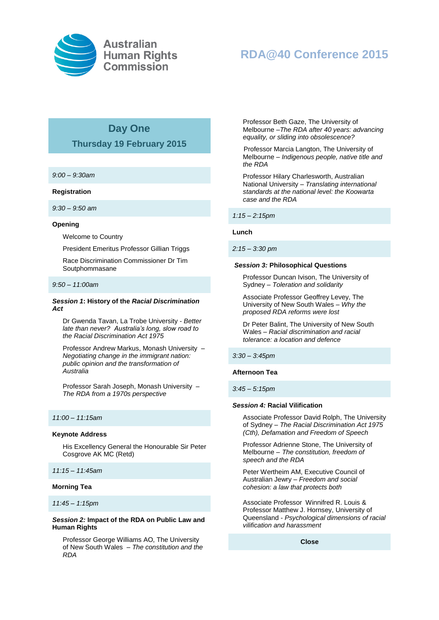

# **RDA@40 Conference 2015**

# **Day One**

# **Thursday 19 February 2015**

*9:00 – 9:30am*

#### **Registration**

*9:30 – 9:50 am*

#### **Opening**

Welcome to Country

President Emeritus Professor Gillian Triggs

Race Discrimination Commissioner Dr Tim Soutphommasane

#### *9:50 – 11:00am*

### *Session 1***: History of the** *Racial Discrimination Act*

Dr Gwenda Tavan, La Trobe University - *Better late than never? Australia's long, slow road to the Racial Discrimination Act 1975*

Professor Andrew Markus, Monash University – *Negotiating change in the immigrant nation: public opinion and the transformation of Australia*

Professor Sarah Joseph, Monash University – *The RDA from a 1970s perspective* 

#### *11:00 – 11:15am*

#### **Keynote Address**

His Excellency General the Honourable Sir Peter Cosgrove AK MC (Retd)

*11:15 – 11:45am*

## **Morning Tea**

*11:45 – 1:15pm*

### *Session 2:* **Impact of the RDA on Public Law and Human Rights**

Professor George Williams AO, The University of New South Wales – *The constitution and the RDA*

Professor Beth Gaze, The University of Melbourne –*The RDA after 40 years: advancing equality, or sliding into obsolescence?*

 Professor Marcia Langton, The University of Melbourne – *Indigenous people, native title and the RDA*

Professor Hilary Charlesworth, Australian National University – *Translating international standards at the national level: the Koowarta case and the RDA*

*1:15 – 2:15pm*

#### **Lunch**

#### *2:15 – 3:30 pm*

#### *Session 3:* **Philosophical Questions**

Professor Duncan Ivison, The University of Sydney – *Toleration and solidarity* 

Associate Professor Geoffrey Levey, The University of New South Wales – *Why the proposed RDA reforms were lost*

Dr Peter Balint, The University of New South Wales – *Racial discrimination and racial tolerance: a location and defence*

*3:30 – 3:45pm*

#### **Afternoon Tea**

*3:45 – 5:15pm* 

#### *Session 4:* **Racial Vilification**

Associate Professor David Rolph, The University of Sydney – *The Racial Discrimination Act 1975 (Cth), Defamation and Freedom of Speech*

Professor Adrienne Stone, The University of Melbourne – *The constitution, freedom of speech and the RDA*

Peter Wertheim AM, Executive Council of Australian Jewry – *Freedom and social cohesion: a law that protects both*

Associate Professor Winnifred R. Louis & Professor Matthew J. Hornsey, University of Queensland - *Psychological dimensions of racial vilification and harassment*

**Close**